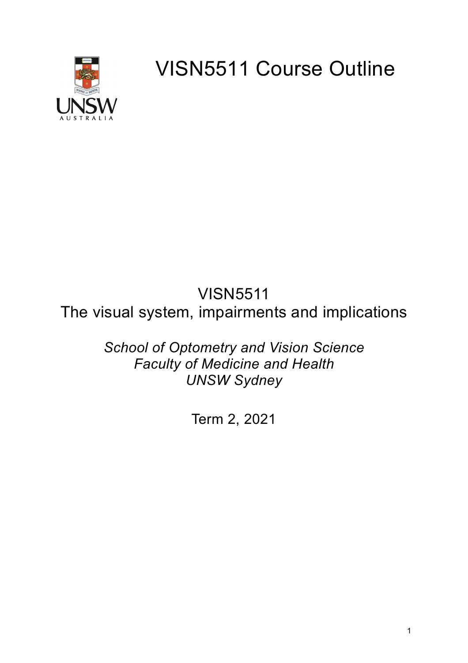

VISN5511 Course Outline

# VISN5511 The visual system, impairments and implications

*School of Optometry and Vision Science Faculty of Medicine and Health UNSW Sydney*

Term 2, 2021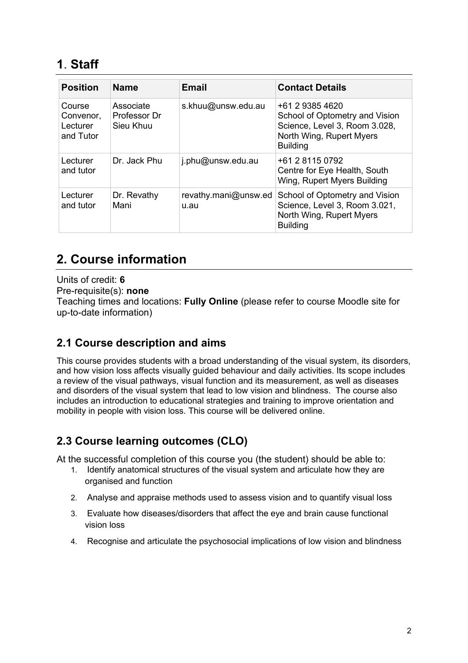# **1**. **Staff**

| <b>Position</b>                              | <b>Name</b>                            | <b>Email</b>                 | <b>Contact Details</b>                                                                                                            |
|----------------------------------------------|----------------------------------------|------------------------------|-----------------------------------------------------------------------------------------------------------------------------------|
| Course<br>Convenor,<br>Lecturer<br>and Tutor | Associate<br>Professor Dr<br>Sieu Khuu | s.khuu@unsw.edu.au           | +61 2 9385 4620<br>School of Optometry and Vision<br>Science, Level 3, Room 3.028,<br>North Wing, Rupert Myers<br><b>Building</b> |
| Lecturer<br>and tutor                        | Dr. Jack Phu                           | j.phu@unsw.edu.au            | +61 2 8115 0792<br>Centre for Eye Health, South<br>Wing, Rupert Myers Building                                                    |
| Lecturer<br>and tutor                        | Dr. Revathy<br>Mani                    | revathy.mani@unsw.ed<br>u.au | School of Optometry and Vision<br>Science, Level 3, Room 3.021,<br>North Wing, Rupert Myers<br><b>Building</b>                    |

# **2. Course information**

Units of credit: **6** Pre-requisite(s): **none** Teaching times and locations: **Fully Online** (please refer to course Moodle site for up-to-date information)

### **2.1 Course description and aims**

This course provides students with a broad understanding of the visual system, its disorders, and how vision loss affects visually guided behaviour and daily activities. Its scope includes a review of the visual pathways, visual function and its measurement, as well as diseases and disorders of the visual system that lead to low vision and blindness. The course also includes an introduction to educational strategies and training to improve orientation and mobility in people with vision loss. This course will be delivered online.

### **2.3 Course learning outcomes (CLO)**

At the successful completion of this course you (the student) should be able to:

- 1. Identify anatomical structures of the visual system and articulate how they are organised and function
- 2. Analyse and appraise methods used to assess vision and to quantify visual loss
- 3. Evaluate how diseases/disorders that affect the eye and brain cause functional vision loss
- 4. Recognise and articulate the psychosocial implications of low vision and blindness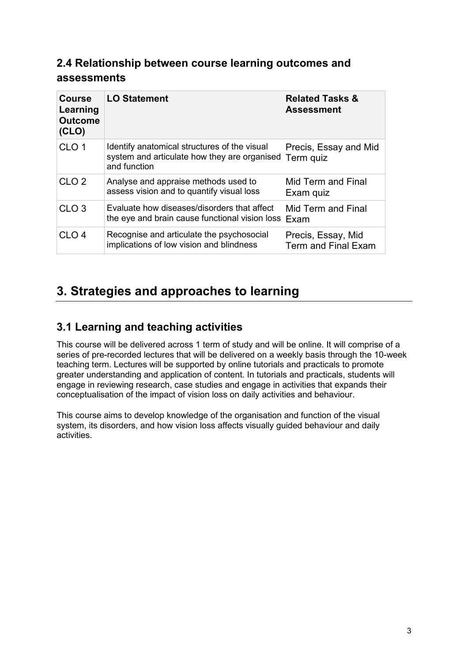### **2.4 Relationship between course learning outcomes and assessments**

| <b>Course</b><br>Learning<br><b>Outcome</b><br>(CLO) | <b>LO Statement</b>                                                                                          | <b>Related Tasks &amp;</b><br><b>Assessment</b> |
|------------------------------------------------------|--------------------------------------------------------------------------------------------------------------|-------------------------------------------------|
| CLO <sub>1</sub>                                     | Identify anatomical structures of the visual<br>system and articulate how they are organised<br>and function | Precis, Essay and Mid<br>Term quiz              |
| CLO <sub>2</sub>                                     | Analyse and appraise methods used to<br>assess vision and to quantify visual loss                            | Mid Term and Final<br>Exam quiz                 |
| CLO <sub>3</sub>                                     | Evaluate how diseases/disorders that affect<br>the eye and brain cause functional vision loss Exam           | Mid Term and Final                              |
| CLO <sub>4</sub>                                     | Recognise and articulate the psychosocial<br>implications of low vision and blindness                        | Precis, Essay, Mid<br>Term and Final Exam       |

# **3. Strategies and approaches to learning**

### **3.1 Learning and teaching activities**

This course will be delivered across 1 term of study and will be online. It will comprise of a series of pre-recorded lectures that will be delivered on a weekly basis through the 10-week teaching term. Lectures will be supported by online tutorials and practicals to promote greater understanding and application of content. In tutorials and practicals, students will engage in reviewing research, case studies and engage in activities that expands their conceptualisation of the impact of vision loss on daily activities and behaviour.

This course aims to develop knowledge of the organisation and function of the visual system, its disorders, and how vision loss affects visually guided behaviour and daily activities.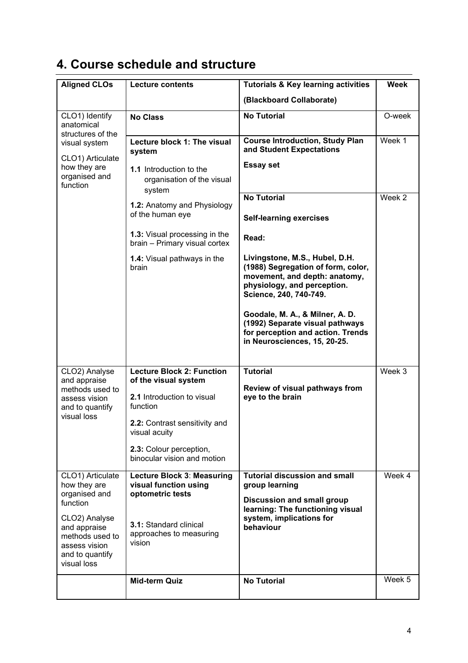# **4. Course schedule and structure**

| <b>Aligned CLOs</b>                                                                                                                                                  | <b>Lecture contents</b>                                                                                                                                                                                                                                               | <b>Tutorials &amp; Key learning activities</b>                                                                                                                                                                                                                                                                                                                                                                                                                       | <b>Week</b>      |  |
|----------------------------------------------------------------------------------------------------------------------------------------------------------------------|-----------------------------------------------------------------------------------------------------------------------------------------------------------------------------------------------------------------------------------------------------------------------|----------------------------------------------------------------------------------------------------------------------------------------------------------------------------------------------------------------------------------------------------------------------------------------------------------------------------------------------------------------------------------------------------------------------------------------------------------------------|------------------|--|
|                                                                                                                                                                      |                                                                                                                                                                                                                                                                       | (Blackboard Collaborate)                                                                                                                                                                                                                                                                                                                                                                                                                                             |                  |  |
| CLO1) Identify<br>anatomical                                                                                                                                         | <b>No Class</b>                                                                                                                                                                                                                                                       | <b>No Tutorial</b>                                                                                                                                                                                                                                                                                                                                                                                                                                                   | O-week           |  |
| structures of the<br>visual system<br>CLO1) Articulate<br>how they are<br>organised and<br>function                                                                  | Lecture block 1: The visual<br>system<br>1.1 Introduction to the<br>organisation of the visual<br>system<br>1.2: Anatomy and Physiology<br>of the human eye<br>1.3: Visual processing in the<br>brain - Primary visual cortex<br>1.4: Visual pathways in the<br>brain | <b>Course Introduction, Study Plan</b><br>and Student Expectations<br><b>Essay set</b><br><b>No Tutorial</b><br><b>Self-learning exercises</b><br>Read:<br>Livingstone, M.S., Hubel, D.H.<br>(1988) Segregation of form, color,<br>movement, and depth: anatomy,<br>physiology, and perception.<br>Science, 240, 740-749.<br>Goodale, M. A., & Milner, A. D.<br>(1992) Separate visual pathways<br>for perception and action. Trends<br>in Neurosciences, 15, 20-25. | Week 1<br>Week 2 |  |
| CLO2) Analyse<br>and appraise<br>methods used to<br>assess vision<br>and to quantify<br>visual loss                                                                  | <b>Lecture Block 2: Function</b><br>of the visual system<br>2.1 Introduction to visual<br>function<br>2.2: Contrast sensitivity and<br>visual acuity<br>2.3: Colour perception,<br>binocular vision and motion                                                        | <b>Tutorial</b><br>Review of visual pathways from<br>eye to the brain                                                                                                                                                                                                                                                                                                                                                                                                | Week 3           |  |
| CLO1) Articulate<br>how they are<br>organised and<br>function<br>CLO2) Analyse<br>and appraise<br>methods used to<br>assess vision<br>and to quantify<br>visual loss | Lecture Block 3: Measuring<br>visual function using<br>optometric tests<br><b>3.1: Standard clinical</b><br>approaches to measuring<br>vision                                                                                                                         | <b>Tutorial discussion and small</b><br>group learning<br><b>Discussion and small group</b><br>learning: The functioning visual<br>system, implications for<br>behaviour                                                                                                                                                                                                                                                                                             | Week 4           |  |
|                                                                                                                                                                      | <b>Mid-term Quiz</b>                                                                                                                                                                                                                                                  | <b>No Tutorial</b>                                                                                                                                                                                                                                                                                                                                                                                                                                                   | Week 5           |  |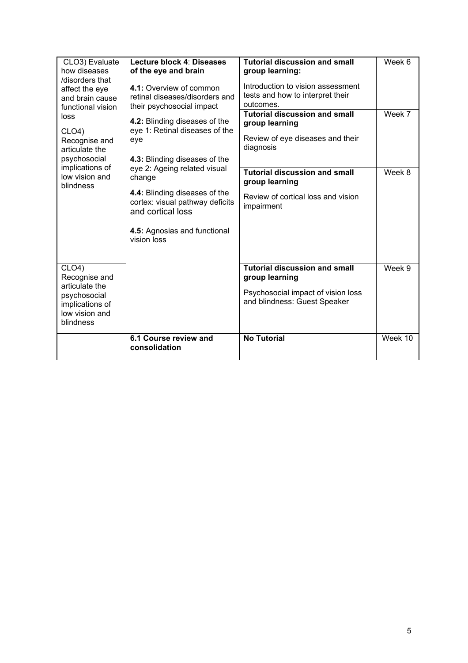| CLO3) Evaluate<br>how diseases<br>/disorders that<br>affect the eye<br>and brain cause<br>functional vision<br>loss<br>CLO4<br>Recognise and<br>articulate the<br>psychosocial<br>implications of<br>low vision and<br>blindness | Lecture block 4: Diseases<br>of the eye and brain<br>4.1: Overview of common<br>retinal diseases/disorders and<br>their psychosocial impact<br>4.2: Blinding diseases of the<br>eye 1: Retinal diseases of the<br>eye<br>4.3: Blinding diseases of the<br>eye 2: Ageing related visual<br>change<br>4.4: Blinding diseases of the<br>cortex: visual pathway deficits<br>and cortical loss<br>4.5: Agnosias and functional<br>vision loss | <b>Tutorial discussion and small</b><br>group learning:<br>Introduction to vision assessment<br>tests and how to interpret their<br>outcomes.<br><b>Tutorial discussion and small</b><br>group learning<br>Review of eye diseases and their<br>diagnosis<br><b>Tutorial discussion and small</b><br>group learning<br>Review of cortical loss and vision<br>impairment | Week 6<br>Week 7<br>Week 8 |
|----------------------------------------------------------------------------------------------------------------------------------------------------------------------------------------------------------------------------------|------------------------------------------------------------------------------------------------------------------------------------------------------------------------------------------------------------------------------------------------------------------------------------------------------------------------------------------------------------------------------------------------------------------------------------------|------------------------------------------------------------------------------------------------------------------------------------------------------------------------------------------------------------------------------------------------------------------------------------------------------------------------------------------------------------------------|----------------------------|
| CLO4)<br>Recognise and<br>articulate the<br>psychosocial<br>implications of<br>low vision and<br>blindness                                                                                                                       |                                                                                                                                                                                                                                                                                                                                                                                                                                          | <b>Tutorial discussion and small</b><br>group learning<br>Psychosocial impact of vision loss<br>and blindness: Guest Speaker                                                                                                                                                                                                                                           | Week 9                     |
|                                                                                                                                                                                                                                  | 6.1 Course review and<br>consolidation                                                                                                                                                                                                                                                                                                                                                                                                   | <b>No Tutorial</b>                                                                                                                                                                                                                                                                                                                                                     | Week 10                    |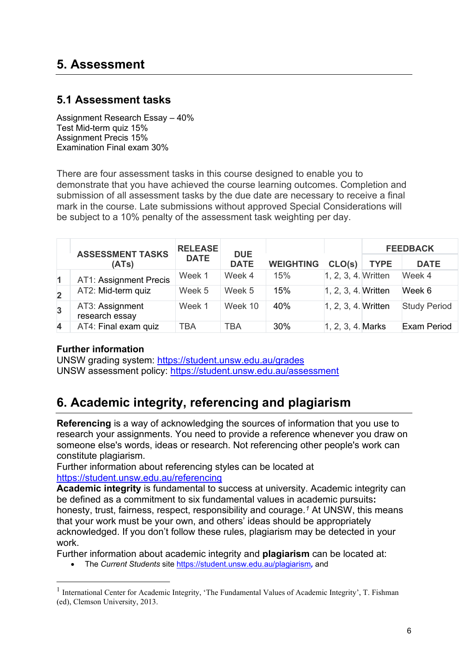#### **5.1 Assessment tasks**

Assignment Research Essay – 40% Test Mid-term quiz 15% Assignment Precis 15% Examination Final exam 30%

There are four assessment tasks in this course designed to enable you to demonstrate that you have achieved the course learning outcomes. Completion and submission of all assessment tasks by the due date are necessary to receive a final mark in the course. Late submissions without approved Special Considerations will be subject to a 10% penalty of the assessment task weighting per day.

|                         | <b>ASSESSMENT TASKS</b>           | <b>RELEASE</b><br><b>DUE</b><br><b>DATE</b> |             | <b>WEIGHTING</b> |                      | <b>FEEDBACK</b> |                     |
|-------------------------|-----------------------------------|---------------------------------------------|-------------|------------------|----------------------|-----------------|---------------------|
|                         | (ATs)                             |                                             | <b>DATE</b> |                  | CLO(s)               | <b>TYPE</b>     | <b>DATE</b>         |
| $\blacksquare$          | AT1: Assignment Precis            | Week 1                                      | Week 4      | 15%              | 1, 2, 3, 4. Written  |                 | Week 4              |
| $\overline{2}$          | AT2: Mid-term quiz                | Week 5                                      | Week 5      | 15%              | 1, 2, 3, 4. Written  |                 | Week 6              |
| $\overline{3}$          | AT3: Assignment<br>research essay | Week 1                                      | Week 10     | 40%              | 1, 2, 3, 4. Written  |                 | <b>Study Period</b> |
| $\overline{\mathbf{4}}$ | AT4: Final exam quiz              | <b>TBA</b>                                  | TBA         | 30%              | $ 1, 2, 3, 4.$ Marks |                 | <b>Exam Period</b>  |

#### **Further information**

UNSW grading system:<https://student.unsw.edu.au/grades> UNSW assessment policy:<https://student.unsw.edu.au/assessment>

# **6. Academic integrity, referencing and plagiarism**

**Referencing** is a way of acknowledging the sources of information that you use to research your assignments. You need to provide a reference whenever you draw on someone else's words, ideas or research. Not referencing other people's work can constitute plagiarism.

Further information about referencing styles can be located at <https://student.unsw.edu.au/referencing>

**Academic integrity** is fundamental to success at university. Academic integrity can be defined as a commitment to six fundamental values in academic pursuits**:** honesty, trust, fairness, respect, responsibility and courage.*[1](#page-5-0)* At UNSW, this means that your work must be your own, and others' ideas should be appropriately acknowledged. If you don't follow these rules, plagiarism may be detected in your work.

Further information about academic integrity and **plagiarism** can be located at:

• The *Current Students* site <https://student.unsw.edu.au/plagiarism>*,* and

<span id="page-5-0"></span><sup>&</sup>lt;sup>1</sup> International Center for Academic Integrity, 'The Fundamental Values of Academic Integrity', T. Fishman (ed), Clemson University, 2013.